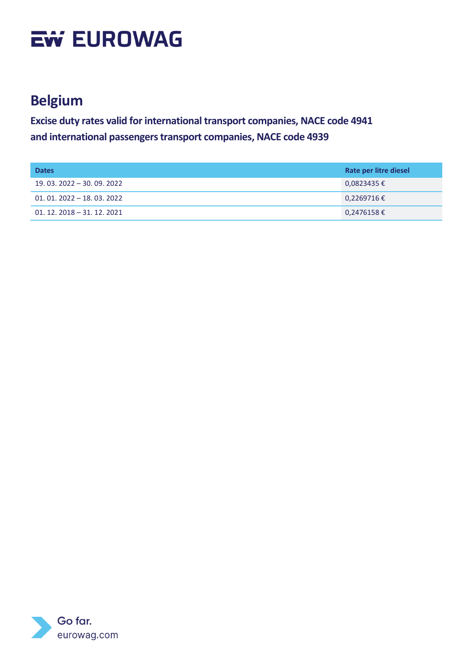#### **Belgium**

| <b>Dates</b>                | Rate per litre diesel |
|-----------------------------|-----------------------|
| 19, 03, 2022 - 30, 09, 2022 | $0,0823435 \in$       |
| $01.01.2022 - 18.03.2022$   | $0,2269716 \in$       |
| $01.12.2018 - 31.12.2021$   | $0,2476158 \in$       |

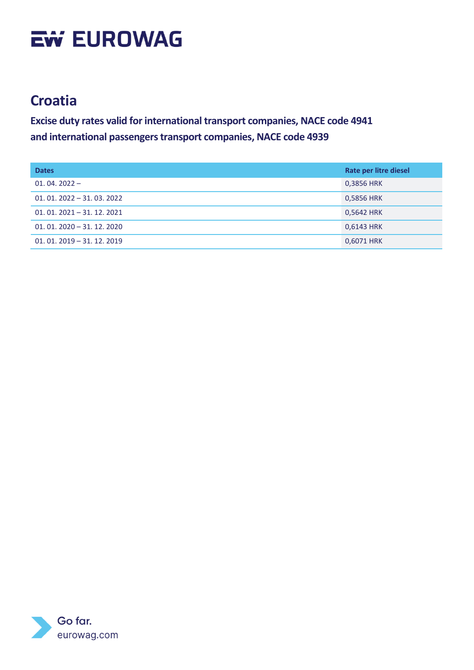### **Croatia**

| <b>Dates</b>              | Rate per litre diesel |
|---------------------------|-----------------------|
| $01.04.2022 -$            | 0,3856 HRK            |
| $01.01.2022 - 31.03.2022$ | 0,5856 HRK            |
| $01.01.2021 - 31.12.2021$ | 0,5642 HRK            |
| $01.01.2020 - 31.12.2020$ | 0,6143 HRK            |
| $01.01.2019 - 31.12.2019$ | 0,6071 HRK            |

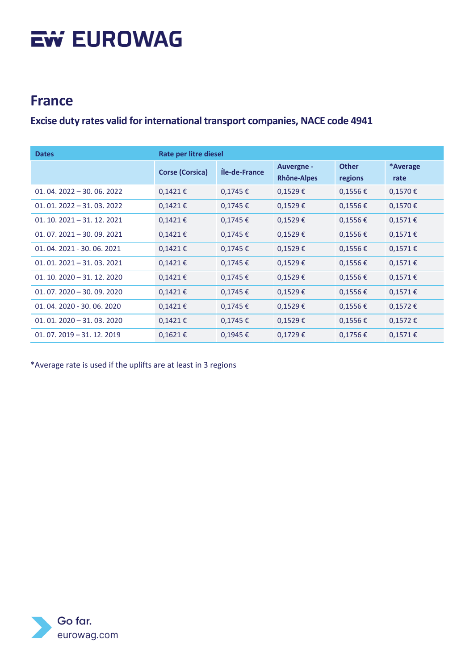#### **France**

#### **Excise duty rates valid for international transport companies, NACE code 4941**

| <b>Dates</b>              | Rate per litre diesel  |               |                                  |                         |                  |
|---------------------------|------------------------|---------------|----------------------------------|-------------------------|------------------|
|                           | <b>Corse (Corsica)</b> | Íle-de-France | <b>Auvergne -</b><br>Rhône-Alpes | <b>Other</b><br>regions | *Average<br>rate |
| $01.04.2022 - 30.06.2022$ | $0,1421 \in$           | $0,1745 \in$  | $0,1529 \in$                     | $0,1556 \in$            | $0,1570 \in$     |
| $01.01.2022 - 31.03.2022$ | $0,1421 \in$           | $0,1745 \in$  | $0,1529 \in$                     | $0,1556 \in$            | $0,1570 \in$     |
| $01.10.2021 - 31.12.2021$ | $0,1421 \in$           | $0,1745 \in$  | $0,1529 \in$                     | $0,1556 \in$            | $0,1571 \in$     |
| $01.07.2021 - 30.09.2021$ | $0,1421 \in$           | $0,1745 \in$  | $0,1529 \in$                     | $0,1556 \in$            | $0,1571 \in$     |
| 01.04.2021 - 30.06.2021   | $0,1421 \in$           | $0,1745 \in$  | $0,1529 \in$                     | $0,1556 \in$            | $0,1571 \in$     |
| $01.01.2021 - 31.03.2021$ | $0,1421 \in$           | $0,1745 \in$  | $0,1529 \in$                     | $0,1556 \in$            | $0,1571 \in$     |
| $01.10.2020 - 31.12.2020$ | $0,1421 \in$           | $0,1745 \in$  | $0,1529 \in$                     | $0,1556 \in$            | $0,1571 \in$     |
| $01.07.2020 - 30.09.2020$ | $0,1421 \in$           | $0,1745 \in$  | $0,1529 \in$                     | $0,1556 \in$            | $0,1571 \in$     |
| 01.04.2020 - 30.06.2020   | $0,1421$ €             | $0,1745 \in$  | $0,1529 \in$                     | $0,1556 \in$            | $0,1572 \in$     |
| $01.01.2020 - 31.03.2020$ | $0,1421 \in$           | $0,1745 \in$  | $0,1529 \in$                     | $0,1556 \in$            | $0,1572 \in$     |
| $01.07.2019 - 31.12.2019$ | $0,1621 \in$           | $0,1945 \in$  | $0,1729 \in$                     | $0,1756 \in$            | $0,1571 \in$     |

\*Average rate is used if the uplifts are at least in 3 regions

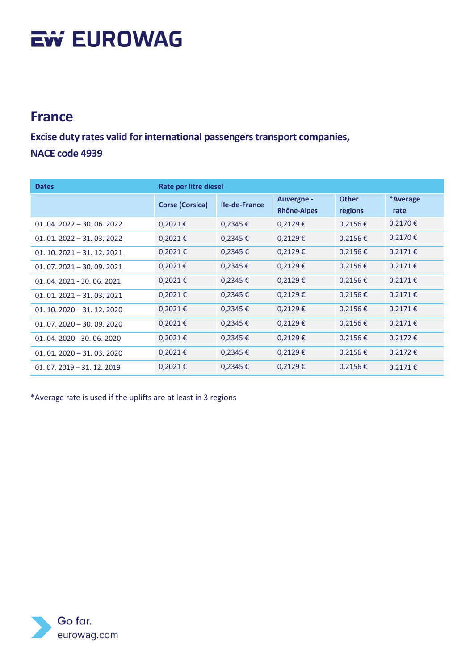#### **France**

**Excise duty rates valid for international passengers transport companies, NACE code 4939**

| <b>Dates</b>              | Rate per litre diesel  |               |                                         |                         |                  |
|---------------------------|------------------------|---------------|-----------------------------------------|-------------------------|------------------|
|                           | <b>Corse (Corsica)</b> | Íle-de-France | <b>Auvergne -</b><br><b>Rhône-Alpes</b> | <b>Other</b><br>regions | *Average<br>rate |
| $01.04.2022 - 30.06.2022$ | $0,2021 \in$           | $0,2345 \in$  | $0,2129 \in$                            | $0,2156 \in$            | $0,2170 \in$     |
| $01.01.2022 - 31.03.2022$ | $0,2021 \in$           | $0,2345 \in$  | $0,2129 \in$                            | $0,2156 \in$            | $0,2170 \in$     |
| $01.10.2021 - 31.12.2021$ | $0,2021 \in$           | $0,2345 \in$  | $0,2129 \in$                            | $0,2156 \in$            | $0,2171 \in$     |
| $01.07.2021 - 30.09.2021$ | $0,2021 \in$           | $0,2345 \in$  | $0,2129 \in$                            | $0,2156 \in$            | $0.2171 \in$     |
| 01.04.2021 - 30.06.2021   | $0,2021 \in$           | $0,2345 \in$  | $0,2129 \in$                            | $0,2156 \in$            | $0,2171 \in$     |
| $01.01.2021 - 31.03.2021$ | $0,2021 \in$           | $0,2345 \in$  | $0,2129 \in$                            | $0,2156 \in$            | $0,2171 \in$     |
| $01.10.2020 - 31.12.2020$ | $0,2021 \in$           | $0,2345 \in$  | $0,2129 \in$                            | $0,2156 \in$            | $0,2171 \in$     |
| $01.07.2020 - 30.09.2020$ | $0,2021 \in$           | $0,2345 \in$  | $0,2129 \in$                            | $0,2156 \in$            | $0,2171 \in$     |
| $01.04.2020 - 30.06.2020$ | $0,2021 \in$           | $0,2345 \in$  | $0,2129 \in$                            | $0,2156 \in$            | $0,2172 \in$     |
| $01.01.2020 - 31.03.2020$ | $0,2021 \in$           | $0,2345 \in$  | $0,2129 \in$                            | $0,2156 \in$            | $0,2172 \in$     |
| $01.07.2019 - 31.12.2019$ | $0,2021 \in$           | $0,2345 \in$  | $0,2129 \in$                            | $0,2156 \in$            | $0,2171 \in$     |

\*Average rate is used if the uplifts are at least in 3 regions

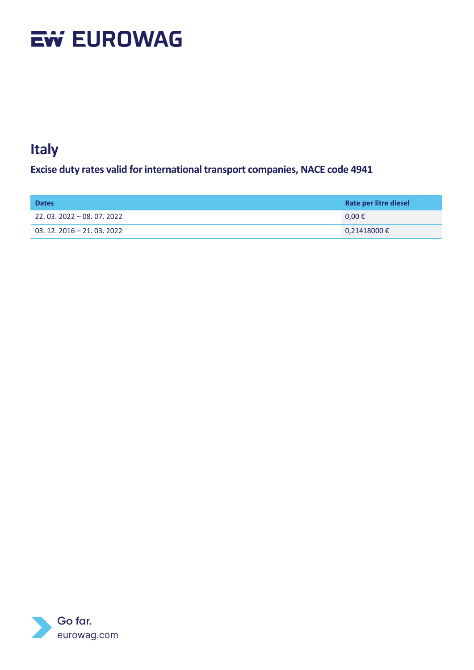### **Italy**

**Excise duty rates valid for international transport companies, NACE code 4941**

| <b>Dates</b>              | Rate per litre diesel |
|---------------------------|-----------------------|
| $22.03.2022 - 08.07.2022$ | $0,00 \in$            |
| $03.12.2016 - 21.03.2022$ | $0,21418000 \in$      |

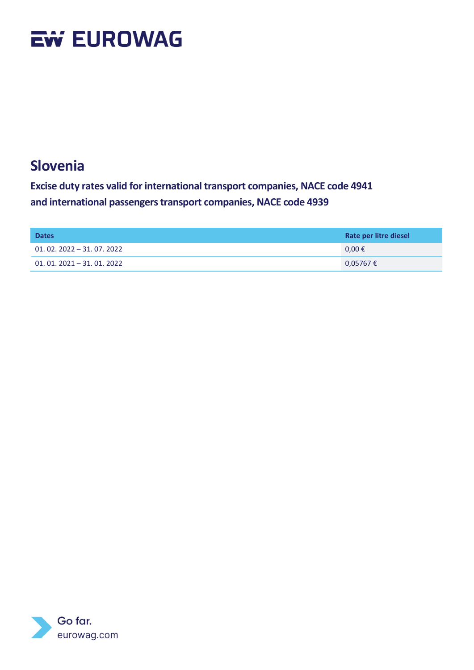#### **Slovenia**

| <b>Dates</b>              | Rate per litre diesel |
|---------------------------|-----------------------|
| $01.02.2022 - 31.07.2022$ | $0.00 \in$            |
| $01.01.2021 - 31.01.2022$ | $0,05767$ €           |

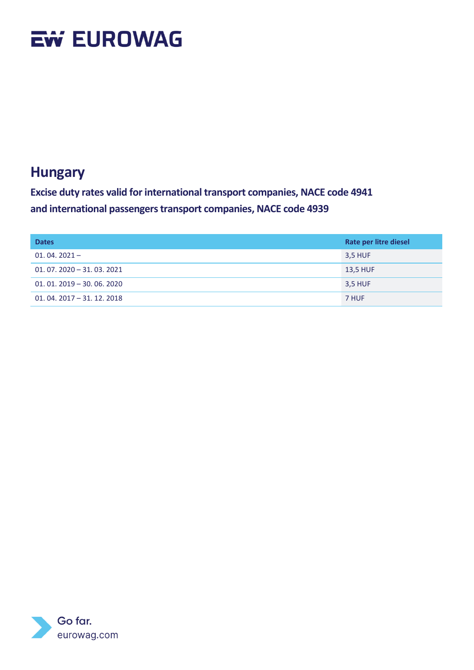#### **Hungary**

| <b>Dates</b>              | Rate per litre diesel |
|---------------------------|-----------------------|
| $01.04.2021 -$            | 3,5 HUF               |
| $01.07.2020 - 31.03.2021$ | <b>13,5 HUF</b>       |
| $01.01.2019 - 30.06.2020$ | 3,5 HUF               |
| $01.04.2017 - 31.12.2018$ | 7 HUF                 |